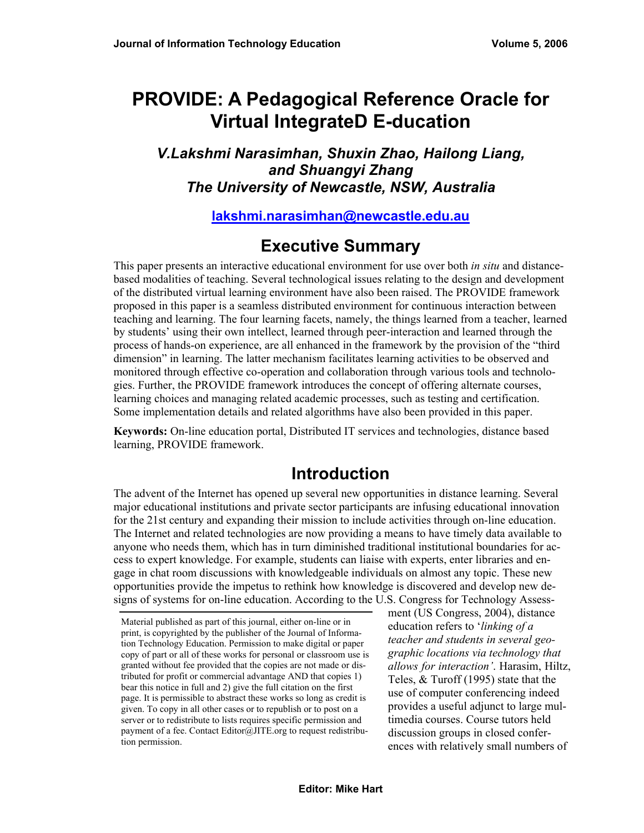# **PROVIDE: A Pedagogical Reference Oracle for Virtual IntegrateD E-ducation**

## *V.Lakshmi Narasimhan, Shuxin Zhao, Hailong Liang, and Shuangyi Zhang The University of Newcastle, NSW, Australia*

## **[lakshmi.narasimhan@newcastle.edu.au](mailto:lakshmi.narasimhan@newcastle.edu.au)**

# **Executive Summary**

This paper presents an interactive educational environment for use over both *in situ* and distancebased modalities of teaching. Several technological issues relating to the design and development of the distributed virtual learning environment have also been raised. The PROVIDE framework proposed in this paper is a seamless distributed environment for continuous interaction between teaching and learning. The four learning facets, namely, the things learned from a teacher, learned by students' using their own intellect, learned through peer-interaction and learned through the process of hands-on experience, are all enhanced in the framework by the provision of the "third dimension" in learning. The latter mechanism facilitates learning activities to be observed and monitored through effective co-operation and collaboration through various tools and technologies. Further, the PROVIDE framework introduces the concept of offering alternate courses, learning choices and managing related academic processes, such as testing and certification. Some implementation details and related algorithms have also been provided in this paper.

**Keywords:** On-line education portal, Distributed IT services and technologies, distance based learning, PROVIDE framework.

## **Introduction**

The advent of the Internet has opened up several new opportunities in distance learning. Several major educational institutions and private sector participants are infusing educational innovation for the 21st century and expanding their mission to include activities through on-line education. The Internet and related technologies are now providing a means to have timely data available to anyone who needs them, which has in turn diminished traditional institutional boundaries for access to expert knowledge. For example, students can liaise with experts, enter libraries and engage in chat room discussions with knowledgeable individuals on almost any topic. These new opportunities provide the impetus to rethink how knowledge is discovered and develop new designs of systems for on-line education. According to the U.S. Congress for Technology Assess-

ment (US Congress, 2004), distance education refers to '*linking of a teacher and students in several geographic locations via technology that allows for interaction'*. Harasim, Hiltz, Teles, & Turoff (1995) state that the use of computer conferencing indeed provides a useful adjunct to large multimedia courses. Course tutors held discussion groups in closed conferences with relatively small numbers of

Material published as part of this journal, either on-line or in print, is copyrighted by the publisher of the Journal of Information Technology Education. Permission to make digital or paper copy of part or all of these works for personal or classroom use is granted without fee provided that the copies are not made or distributed for profit or commercial advantage AND that copies 1) bear this notice in full and 2) give the full citation on the first page. It is permissible to abstract these works so long as credit is given. To copy in all other cases or to republish or to post on a server or to redistribute to lists requires specific permission and payment of a fee. Contact Editor@JITE.org to request redistribution permission.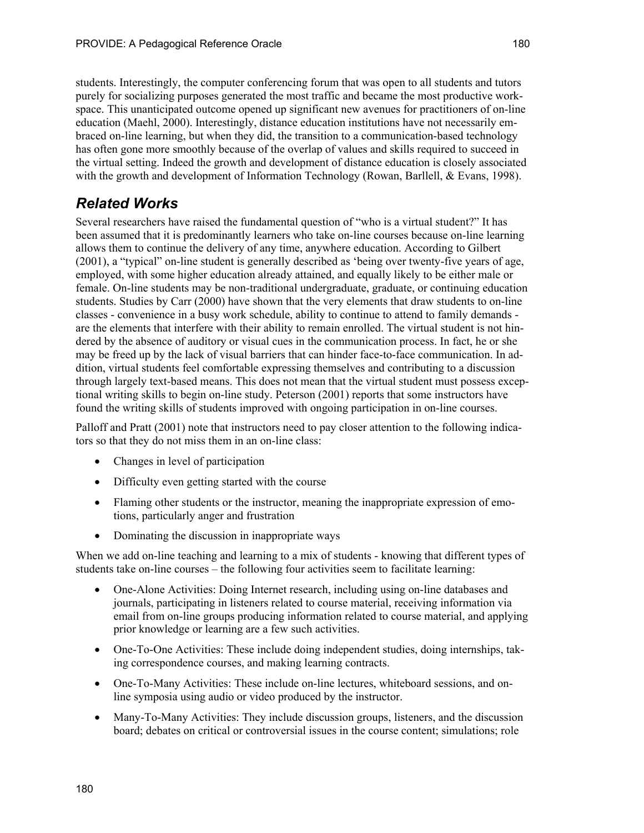students. Interestingly, the computer conferencing forum that was open to all students and tutors purely for socializing purposes generated the most traffic and became the most productive workspace. This unanticipated outcome opened up significant new avenues for practitioners of on-line education (Maehl, 2000). Interestingly, distance education institutions have not necessarily embraced on-line learning, but when they did, the transition to a communication-based technology has often gone more smoothly because of the overlap of values and skills required to succeed in the virtual setting. Indeed the growth and development of distance education is closely associated with the growth and development of Information Technology (Rowan, Barllell, & Evans, 1998).

## *Related Works*

Several researchers have raised the fundamental question of "who is a virtual student?" It has been assumed that it is predominantly learners who take on-line courses because on-line learning allows them to continue the delivery of any time, anywhere education. According to Gilbert (2001), a "typical" on-line student is generally described as 'being over twenty-five years of age, employed, with some higher education already attained, and equally likely to be either male or female. On-line students may be non-traditional undergraduate, graduate, or continuing education students. Studies by Carr (2000) have shown that the very elements that draw students to on-line classes - convenience in a busy work schedule, ability to continue to attend to family demands are the elements that interfere with their ability to remain enrolled. The virtual student is not hindered by the absence of auditory or visual cues in the communication process. In fact, he or she may be freed up by the lack of visual barriers that can hinder face-to-face communication. In addition, virtual students feel comfortable expressing themselves and contributing to a discussion through largely text-based means. This does not mean that the virtual student must possess exceptional writing skills to begin on-line study. Peterson (2001) reports that some instructors have found the writing skills of students improved with ongoing participation in on-line courses.

Palloff and Pratt (2001) note that instructors need to pay closer attention to the following indicators so that they do not miss them in an on-line class:

- Changes in level of participation
- Difficulty even getting started with the course
- Flaming other students or the instructor, meaning the inappropriate expression of emotions, particularly anger and frustration
- Dominating the discussion in inappropriate ways

When we add on-line teaching and learning to a mix of students - knowing that different types of students take on-line courses – the following four activities seem to facilitate learning:

- One-Alone Activities: Doing Internet research, including using on-line databases and journals, participating in listeners related to course material, receiving information via email from on-line groups producing information related to course material, and applying prior knowledge or learning are a few such activities.
- One-To-One Activities: These include doing independent studies, doing internships, taking correspondence courses, and making learning contracts.
- One-To-Many Activities: These include on-line lectures, whiteboard sessions, and online symposia using audio or video produced by the instructor.
- Many-To-Many Activities: They include discussion groups, listeners, and the discussion board; debates on critical or controversial issues in the course content; simulations; role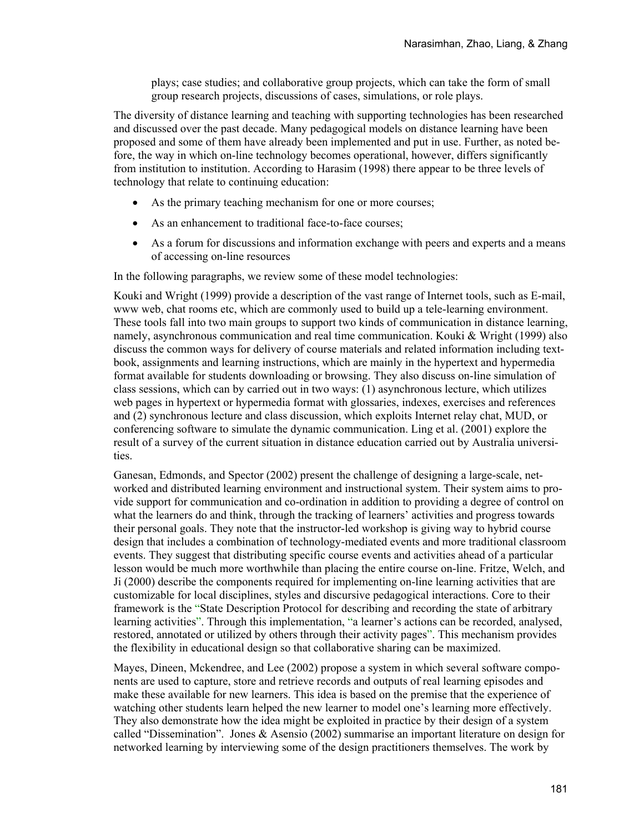plays; case studies; and collaborative group projects, which can take the form of small group research projects, discussions of cases, simulations, or role plays.

The diversity of distance learning and teaching with supporting technologies has been researched and discussed over the past decade. Many pedagogical models on distance learning have been proposed and some of them have already been implemented and put in use. Further, as noted before, the way in which on-line technology becomes operational, however, differs significantly from institution to institution. According to Harasim (1998) there appear to be three levels of technology that relate to continuing education:

- As the primary teaching mechanism for one or more courses;
- As an enhancement to traditional face-to-face courses:
- As a forum for discussions and information exchange with peers and experts and a means of accessing on-line resources

In the following paragraphs, we review some of these model technologies:

Kouki and Wright (1999) provide a description of the vast range of Internet tools, such as E-mail, www web, chat rooms etc, which are commonly used to build up a tele-learning environment. These tools fall into two main groups to support two kinds of communication in distance learning, namely, asynchronous communication and real time communication. Kouki & Wright (1999) also discuss the common ways for delivery of course materials and related information including textbook, assignments and learning instructions, which are mainly in the hypertext and hypermedia format available for students downloading or browsing. They also discuss on-line simulation of class sessions, which can by carried out in two ways: (1) asynchronous lecture, which utilizes web pages in hypertext or hypermedia format with glossaries, indexes, exercises and references and (2) synchronous lecture and class discussion, which exploits Internet relay chat, MUD, or conferencing software to simulate the dynamic communication. Ling et al. (2001) explore the result of a survey of the current situation in distance education carried out by Australia universities.

Ganesan, Edmonds, and Spector (2002) present the challenge of designing a large-scale, networked and distributed learning environment and instructional system. Their system aims to provide support for communication and co-ordination in addition to providing a degree of control on what the learners do and think, through the tracking of learners' activities and progress towards their personal goals. They note that the instructor-led workshop is giving way to hybrid course design that includes a combination of technology-mediated events and more traditional classroom events. They suggest that distributing specific course events and activities ahead of a particular lesson would be much more worthwhile than placing the entire course on-line. Fritze, Welch, and Ji (2000) describe the components required for implementing on-line learning activities that are customizable for local disciplines, styles and discursive pedagogical interactions. Core to their framework is the "State Description Protocol for describing and recording the state of arbitrary learning activities". Through this implementation, "a learner's actions can be recorded, analysed, restored, annotated or utilized by others through their activity pages". This mechanism provides the flexibility in educational design so that collaborative sharing can be maximized.

Mayes, Dineen, Mckendree, and Lee (2002) propose a system in which several software components are used to capture, store and retrieve records and outputs of real learning episodes and make these available for new learners. This idea is based on the premise that the experience of watching other students learn helped the new learner to model one's learning more effectively. They also demonstrate how the idea might be exploited in practice by their design of a system called "Dissemination". Jones & Asensio (2002) summarise an important literature on design for networked learning by interviewing some of the design practitioners themselves. The work by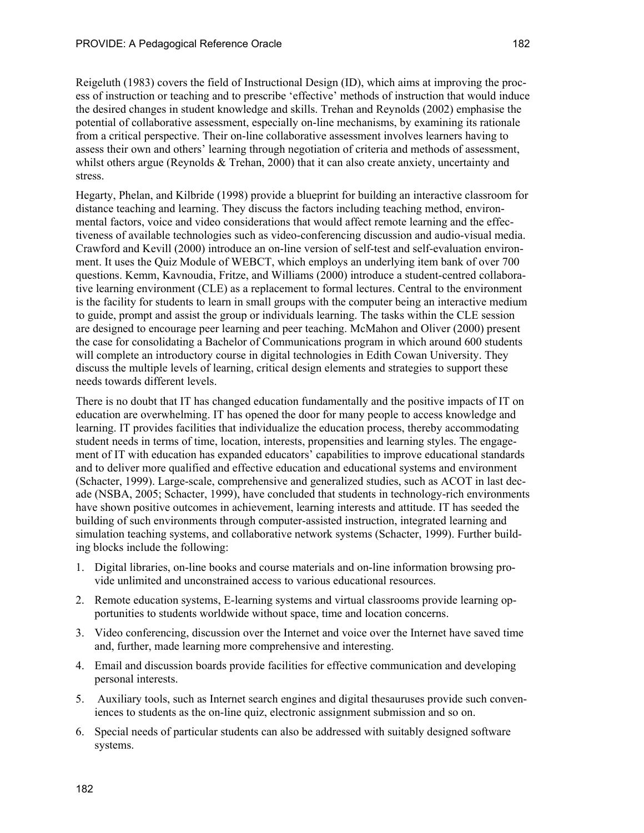Reigeluth (1983) covers the field of Instructional Design (ID), which aims at improving the process of instruction or teaching and to prescribe 'effective' methods of instruction that would induce the desired changes in student knowledge and skills. Trehan and Reynolds (2002) emphasise the potential of collaborative assessment, especially on-line mechanisms, by examining its rationale from a critical perspective. Their on-line collaborative assessment involves learners having to assess their own and others' learning through negotiation of criteria and methods of assessment, whilst others argue (Reynolds & Trehan, 2000) that it can also create anxiety, uncertainty and stress.

Hegarty, Phelan, and Kilbride (1998) provide a blueprint for building an interactive classroom for distance teaching and learning. They discuss the factors including teaching method, environmental factors, voice and video considerations that would affect remote learning and the effectiveness of available technologies such as video-conferencing discussion and audio-visual media. Crawford and Kevill (2000) introduce an on-line version of self-test and self-evaluation environment. It uses the Quiz Module of WEBCT, which employs an underlying item bank of over 700 questions. Kemm, Kavnoudia, Fritze, and Williams (2000) introduce a student-centred collaborative learning environment (CLE) as a replacement to formal lectures. Central to the environment is the facility for students to learn in small groups with the computer being an interactive medium to guide, prompt and assist the group or individuals learning. The tasks within the CLE session are designed to encourage peer learning and peer teaching. McMahon and Oliver (2000) present the case for consolidating a Bachelor of Communications program in which around 600 students will complete an introductory course in digital technologies in Edith Cowan University. They discuss the multiple levels of learning, critical design elements and strategies to support these needs towards different levels.

There is no doubt that IT has changed education fundamentally and the positive impacts of IT on education are overwhelming. IT has opened the door for many people to access knowledge and learning. IT provides facilities that individualize the education process, thereby accommodating student needs in terms of time, location, interests, propensities and learning styles. The engagement of IT with education has expanded educators' capabilities to improve educational standards and to deliver more qualified and effective education and educational systems and environment (Schacter, 1999). Large-scale, comprehensive and generalized studies, such as ACOT in last decade (NSBA, 2005; Schacter, 1999), have concluded that students in technology-rich environments have shown positive outcomes in achievement, learning interests and attitude. IT has seeded the building of such environments through computer-assisted instruction, integrated learning and simulation teaching systems, and collaborative network systems (Schacter, 1999). Further building blocks include the following:

- 1. Digital libraries, on-line books and course materials and on-line information browsing provide unlimited and unconstrained access to various educational resources.
- 2. Remote education systems, E-learning systems and virtual classrooms provide learning opportunities to students worldwide without space, time and location concerns.
- 3. Video conferencing, discussion over the Internet and voice over the Internet have saved time and, further, made learning more comprehensive and interesting.
- 4. Email and discussion boards provide facilities for effective communication and developing personal interests.
- 5. Auxiliary tools, such as Internet search engines and digital thesauruses provide such conveniences to students as the on-line quiz, electronic assignment submission and so on.
- 6. Special needs of particular students can also be addressed with suitably designed software systems.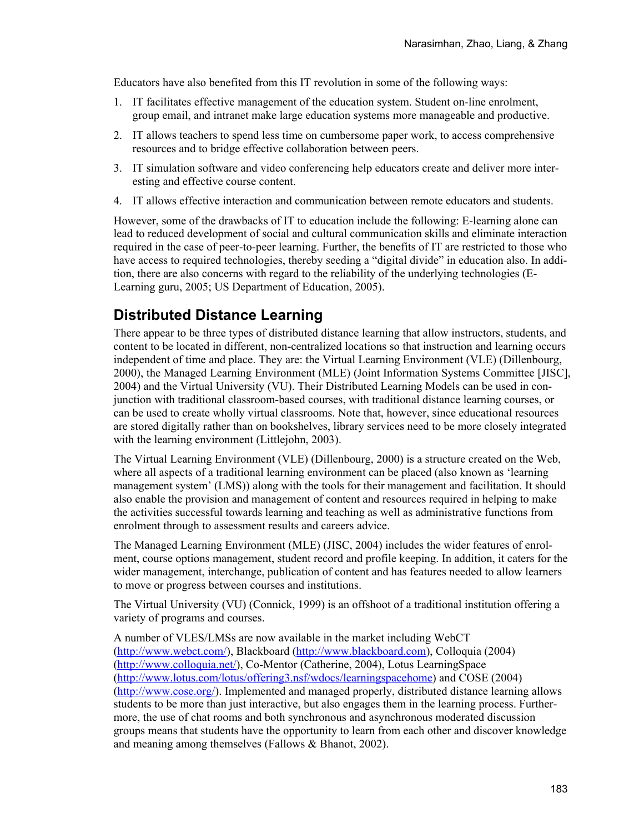Educators have also benefited from this IT revolution in some of the following ways:

- 1. IT facilitates effective management of the education system. Student on-line enrolment, group email, and intranet make large education systems more manageable and productive.
- 2. IT allows teachers to spend less time on cumbersome paper work, to access comprehensive resources and to bridge effective collaboration between peers.
- 3. IT simulation software and video conferencing help educators create and deliver more interesting and effective course content.
- 4. IT allows effective interaction and communication between remote educators and students.

However, some of the drawbacks of IT to education include the following: E-learning alone can lead to reduced development of social and cultural communication skills and eliminate interaction required in the case of peer-to-peer learning. Further, the benefits of IT are restricted to those who have access to required technologies, thereby seeding a "digital divide" in education also. In addition, there are also concerns with regard to the reliability of the underlying technologies (E-Learning guru, 2005; US Department of Education, 2005).

## **Distributed Distance Learning**

There appear to be three types of distributed distance learning that allow instructors, students, and content to be located in different, non-centralized locations so that instruction and learning occurs independent of time and place. They are: the Virtual Learning Environment (VLE) (Dillenbourg, 2000), the Managed Learning Environment (MLE) (Joint Information Systems Committee [JISC], 2004) and the Virtual University (VU). Their Distributed Learning Models can be used in conjunction with traditional classroom-based courses, with traditional distance learning courses, or can be used to create wholly virtual classrooms. Note that, however, since educational resources are stored digitally rather than on bookshelves, library services need to be more closely integrated with the learning environment (Littlejohn, 2003).

The Virtual Learning Environment (VLE) (Dillenbourg, 2000) is a structure created on the Web, where all aspects of a traditional learning environment can be placed (also known as 'learning management system' (LMS)) along with the tools for their management and facilitation. It should also enable the provision and management of content and resources required in helping to make the activities successful towards learning and teaching as well as administrative functions from enrolment through to assessment results and careers advice.

The Managed Learning Environment (MLE) (JISC, 2004) includes the wider features of enrolment, course options management, student record and profile keeping. In addition, it caters for the wider management, interchange, publication of content and has features needed to allow learners to move or progress between courses and institutions.

The Virtual University (VU) (Connick, 1999) is an offshoot of a traditional institution offering a variety of programs and courses.

A number of VLES/LMSs are now available in the market including WebCT ([http://www.webct.com/\)](http://www.webct.com/), Blackboard ([http://www.blackboard.com\)](http://www.blackboard.com/), Colloquia (2004) ([http://www.colloquia.net/\),](http://www.colloquia.net/) Co-Mentor (Catherine, 2004), Lotus LearningSpace ([http://www.lotus.com/lotus/offering3.nsf/wdocs/learningspacehome\)](http://www.lotus.com/lotus/offering3.nsf/wdocs/learningspacehome) and COSE (2004) ([http://www.cose.org/\).](http://www.cose.org/) Implemented and managed properly, distributed distance learning allows students to be more than just interactive, but also engages them in the learning process. Furthermore, the use of chat rooms and both synchronous and asynchronous moderated discussion groups means that students have the opportunity to learn from each other and discover knowledge and meaning among themselves (Fallows & Bhanot, 2002).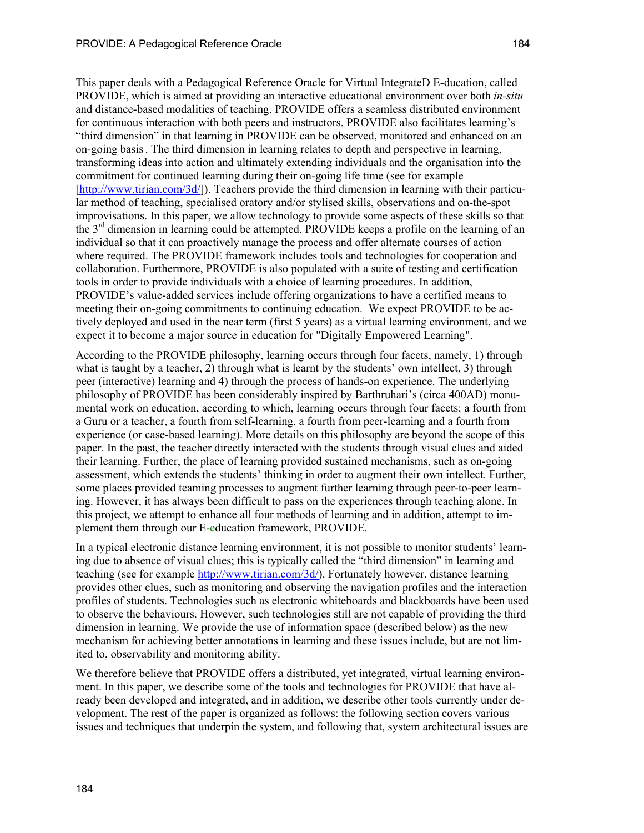This paper deals with a Pedagogical Reference Oracle for Virtual IntegrateD E-ducation, called PROVIDE, which is aimed at providing an interactive educational environment over both *in-situ*  and distance-based modalities of teaching. PROVIDE offers a seamless distributed environment for continuous interaction with both peers and instructors. PROVIDE also facilitates learning's "third dimension" in that learning in PROVIDE can be observed, monitored and enhanced on an on-going basis. The third dimension in learning relates to depth and perspective in learning, transforming ideas into action and ultimately extending individuals and the organisation into the commitment for continued learning during their on-going life time (see for example [\[http://www.tirian.com/3d/\]](http://www.tirian.com/3d/)). Teachers provide the third dimension in learning with their particular method of teaching, specialised oratory and/or stylised skills, observations and on-the-spot improvisations. In this paper, we allow technology to provide some aspects of these skills so that the 3rd dimension in learning could be attempted. PROVIDE keeps a profile on the learning of an individual so that it can proactively manage the process and offer alternate courses of action where required. The PROVIDE framework includes tools and technologies for cooperation and collaboration. Furthermore, PROVIDE is also populated with a suite of testing and certification tools in order to provide individuals with a choice of learning procedures. In addition, PROVIDE's value-added services include offering organizations to have a certified means to meeting their on-going commitments to continuing education. We expect PROVIDE to be actively deployed and used in the near term (first 5 years) as a virtual learning environment, and we expect it to become a major source in education for "Digitally Empowered Learning".

According to the PROVIDE philosophy, learning occurs through four facets, namely, 1) through what is taught by a teacher, 2) through what is learnt by the students' own intellect, 3) through peer (interactive) learning and 4) through the process of hands-on experience. The underlying philosophy of PROVIDE has been considerably inspired by Barthruhari's (circa 400AD) monumental work on education, according to which, learning occurs through four facets: a fourth from a Guru or a teacher, a fourth from self-learning, a fourth from peer-learning and a fourth from experience (or case-based learning). More details on this philosophy are beyond the scope of this paper. In the past, the teacher directly interacted with the students through visual clues and aided their learning. Further, the place of learning provided sustained mechanisms, such as on-going assessment, which extends the students' thinking in order to augment their own intellect. Further, some places provided teaming processes to augment further learning through peer-to-peer learning. However, it has always been difficult to pass on the experiences through teaching alone. In this project, we attempt to enhance all four methods of learning and in addition, attempt to implement them through our E-education framework, PROVIDE.

In a typical electronic distance learning environment, it is not possible to monitor students' learning due to absence of visual clues; this is typically called the "third dimension" in learning and teaching (see for example [http://www.tirian.com/3d/\).](http://www.tirian.com/3d/) Fortunately however, distance learning provides other clues, such as monitoring and observing the navigation profiles and the interaction profiles of students. Technologies such as electronic whiteboards and blackboards have been used to observe the behaviours. However, such technologies still are not capable of providing the third dimension in learning. We provide the use of information space (described below) as the new mechanism for achieving better annotations in learning and these issues include, but are not limited to, observability and monitoring ability.

We therefore believe that PROVIDE offers a distributed, yet integrated, virtual learning environment. In this paper, we describe some of the tools and technologies for PROVIDE that have already been developed and integrated, and in addition, we describe other tools currently under development. The rest of the paper is organized as follows: the following section covers various issues and techniques that underpin the system, and following that, system architectural issues are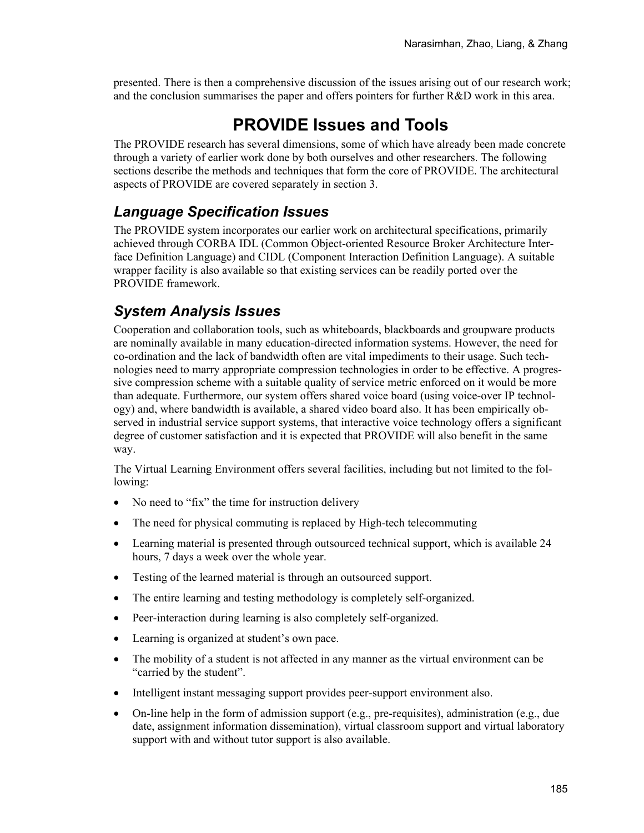presented. There is then a comprehensive discussion of the issues arising out of our research work; and the conclusion summarises the paper and offers pointers for further R&D work in this area.

# **PROVIDE Issues and Tools**

The PROVIDE research has several dimensions, some of which have already been made concrete through a variety of earlier work done by both ourselves and other researchers. The following sections describe the methods and techniques that form the core of PROVIDE. The architectural aspects of PROVIDE are covered separately in section 3.

## *Language Specification Issues*

The PROVIDE system incorporates our earlier work on architectural specifications, primarily achieved through CORBA IDL (Common Object-oriented Resource Broker Architecture Interface Definition Language) and CIDL (Component Interaction Definition Language). A suitable wrapper facility is also available so that existing services can be readily ported over the PROVIDE framework.

## *System Analysis Issues*

Cooperation and collaboration tools, such as whiteboards, blackboards and groupware products are nominally available in many education-directed information systems. However, the need for co-ordination and the lack of bandwidth often are vital impediments to their usage. Such technologies need to marry appropriate compression technologies in order to be effective. A progressive compression scheme with a suitable quality of service metric enforced on it would be more than adequate. Furthermore, our system offers shared voice board (using voice-over IP technology) and, where bandwidth is available, a shared video board also. It has been empirically observed in industrial service support systems, that interactive voice technology offers a significant degree of customer satisfaction and it is expected that PROVIDE will also benefit in the same way.

The Virtual Learning Environment offers several facilities, including but not limited to the following:

- No need to "fix" the time for instruction delivery
- The need for physical commuting is replaced by High-tech telecommuting
- Learning material is presented through outsourced technical support, which is available 24 hours, 7 days a week over the whole year.
- Testing of the learned material is through an outsourced support.
- The entire learning and testing methodology is completely self-organized.
- Peer-interaction during learning is also completely self-organized.
- Learning is organized at student's own pace.
- The mobility of a student is not affected in any manner as the virtual environment can be "carried by the student".
- Intelligent instant messaging support provides peer-support environment also.
- On-line help in the form of admission support (e.g., pre-requisites), administration (e.g., due date, assignment information dissemination), virtual classroom support and virtual laboratory support with and without tutor support is also available.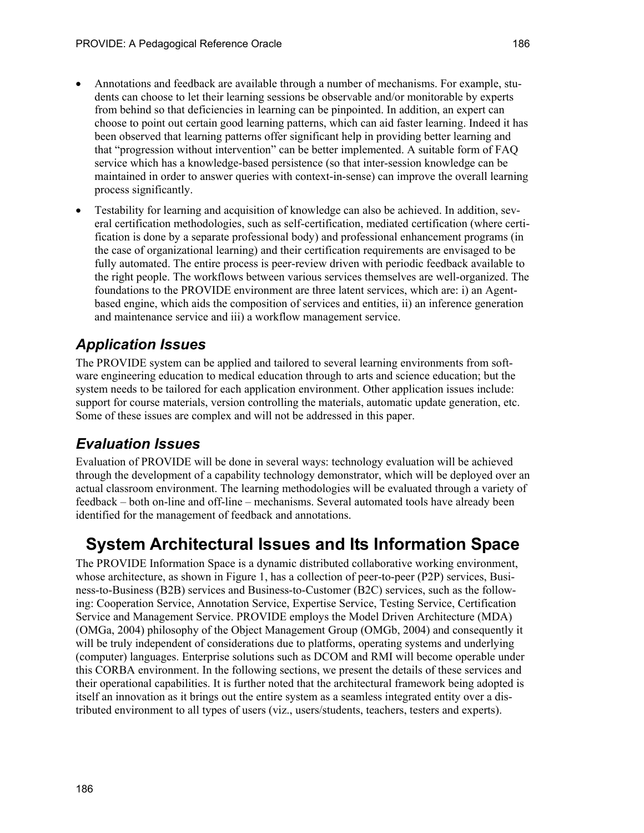- Annotations and feedback are available through a number of mechanisms. For example, students can choose to let their learning sessions be observable and/or monitorable by experts from behind so that deficiencies in learning can be pinpointed. In addition, an expert can choose to point out certain good learning patterns, which can aid faster learning. Indeed it has been observed that learning patterns offer significant help in providing better learning and that "progression without intervention" can be better implemented. A suitable form of FAQ service which has a knowledge-based persistence (so that inter-session knowledge can be maintained in order to answer queries with context-in-sense) can improve the overall learning process significantly.
- Testability for learning and acquisition of knowledge can also be achieved. In addition, several certification methodologies, such as self-certification, mediated certification (where certification is done by a separate professional body) and professional enhancement programs (in the case of organizational learning) and their certification requirements are envisaged to be fully automated. The entire process is peer-review driven with periodic feedback available to the right people. The workflows between various services themselves are well-organized. The foundations to the PROVIDE environment are three latent services, which are: i) an Agentbased engine, which aids the composition of services and entities, ii) an inference generation and maintenance service and iii) a workflow management service.

## *Application Issues*

The PROVIDE system can be applied and tailored to several learning environments from software engineering education to medical education through to arts and science education; but the system needs to be tailored for each application environment. Other application issues include: support for course materials, version controlling the materials, automatic update generation, etc. Some of these issues are complex and will not be addressed in this paper.

## *Evaluation Issues*

Evaluation of PROVIDE will be done in several ways: technology evaluation will be achieved through the development of a capability technology demonstrator, which will be deployed over an actual classroom environment. The learning methodologies will be evaluated through a variety of feedback – both on-line and off-line – mechanisms. Several automated tools have already been identified for the management of feedback and annotations.

# **System Architectural Issues and Its Information Space**

The PROVIDE Information Space is a dynamic distributed collaborative working environment, whose architecture, as shown in Figure 1, has a collection of peer-to-peer (P2P) services, Business-to-Business (B2B) services and Business-to-Customer (B2C) services, such as the following: Cooperation Service, Annotation Service, Expertise Service, Testing Service, Certification Service and Management Service. PROVIDE employs the Model Driven Architecture (MDA) (OMGa, 2004) philosophy of the Object Management Group (OMGb, 2004) and consequently it will be truly independent of considerations due to platforms, operating systems and underlying (computer) languages. Enterprise solutions such as DCOM and RMI will become operable under this CORBA environment. In the following sections, we present the details of these services and their operational capabilities. It is further noted that the architectural framework being adopted is itself an innovation as it brings out the entire system as a seamless integrated entity over a distributed environment to all types of users (viz., users/students, teachers, testers and experts).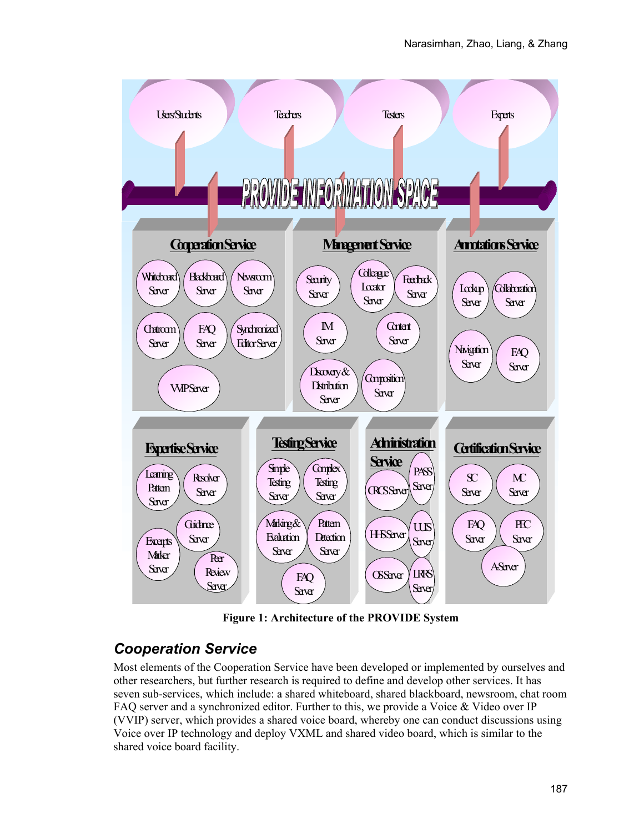

**Figure 1: Architecture of the PROVIDE System** 

## *Cooperation Service*

Most elements of the Cooperation Service have been developed or implemented by ourselves and other researchers, but further research is required to define and develop other services. It has seven sub-services, which include: a shared whiteboard, shared blackboard, newsroom, chat room FAQ server and a synchronized editor. Further to this, we provide a Voice & Video over IP (VVIP) server, which provides a shared voice board, whereby one can conduct discussions using Voice over IP technology and deploy VXML and shared video board, which is similar to the shared voice board facility.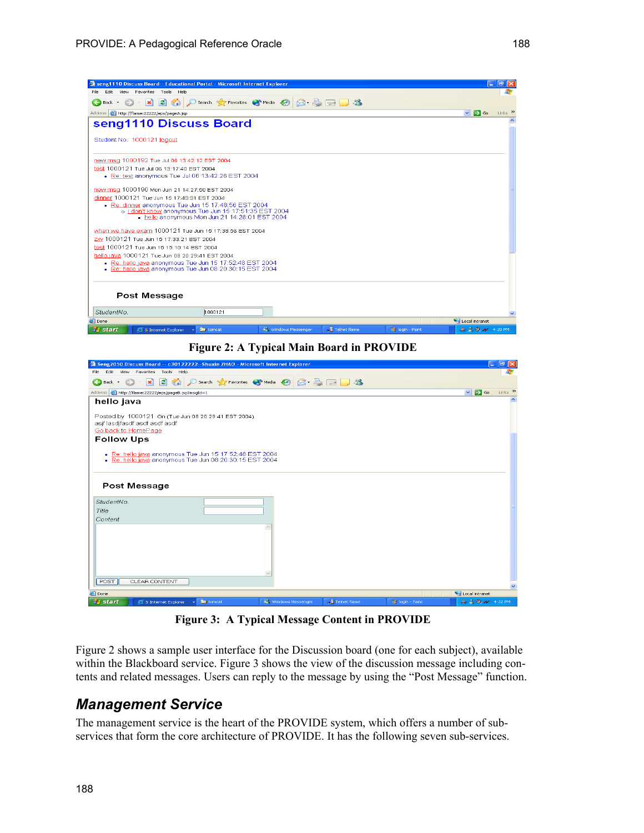| <b>State Seng1110 Discuss Board -- Educational Portal - Microsoft Internet Explorer</b>                                                                                                                                                                                                                                                                                                                                      |                                 | $ .\ $ a $\ $ $\times$ |
|------------------------------------------------------------------------------------------------------------------------------------------------------------------------------------------------------------------------------------------------------------------------------------------------------------------------------------------------------------------------------------------------------------------------------|---------------------------------|------------------------|
| Edit View Favorites Tools Help<br>File                                                                                                                                                                                                                                                                                                                                                                                       |                                 |                        |
| ○ Search ☆ Favorites ● Media → 图 2-8 → 图<br>$\blacksquare$<br>$ \times $<br>Back -                                                                                                                                                                                                                                                                                                                                           |                                 |                        |
| Address <b>B</b> http://flame:22222/eps/pageA.jsp                                                                                                                                                                                                                                                                                                                                                                            | $\mathbf{B}$ Go<br>$\checkmark$ | $Links$ <sup>33</sup>  |
| seng1110 Discuss Board                                                                                                                                                                                                                                                                                                                                                                                                       |                                 |                        |
| Student No.: 1000121 logout                                                                                                                                                                                                                                                                                                                                                                                                  |                                 |                        |
| new msg 1000192 Tue Jul 06 13:42:12 EST 2004<br>test 1000121 Tue Jul 06 13:17:40 EST 2004<br>- Re: test anonymous Tue Jul 06 13:42:26 EST 2004                                                                                                                                                                                                                                                                               |                                 |                        |
| new msg 1000190 Mon Jun 21 14:27:50 EST 2004<br>dinner 1000121 Tue Jun 15 17:43:31 EST 2004<br>- Re: dinner anonymous Tue Jun 15 17:48:56 EST 2004<br>o i don't know anonymous Tue Jun 15 17:51:35 EST 2004<br>$\blacksquare$ hello anonymous Mon Jun 21 14:28:01 EST 2004<br>when we have exam 1000121 Tue Jun 15 17:38:56 EST 2004<br>ZW 1000121 Tue Jun 15 17:33:21 EST 2004<br>test 1000121 Tue Jun 15 15:10:14 EST 2004 |                                 |                        |
| hello java 1000121 Tue Jun 08 20:29:41 EST 2004<br>• Re: hello java anonymous Tue Jun 15 17:52:48 EST 2004<br>• Re: hello java anonymous Tue Jun 08 20:30:15 EST 2004<br><b>Post Message</b>                                                                                                                                                                                                                                 |                                 |                        |
| h000121<br>StudentNo.                                                                                                                                                                                                                                                                                                                                                                                                        |                                 |                        |
| e'l Done                                                                                                                                                                                                                                                                                                                                                                                                                     | Local intranet                  |                        |
| Telnet flame<br>M login - Paint<br><b><i>H<sub>a</sub></i></b> start<br><b>R</b> tomcat<br><b>A</b> Windows Messenger<br>5 Internet Explorer                                                                                                                                                                                                                                                                                 | $4.20$ M $4.20$ PM              |                        |

**Figure 2: A Typical Main Board in PROVIDE** 

| Seng2050 Discuss Board -- c30122222--Shuxin ZHAO - Microsoft Internet Explorer                                                                          |                                            |                            |              |                        |                         | $\Box$ $\Box$ $\Box$  |
|---------------------------------------------------------------------------------------------------------------------------------------------------------|--------------------------------------------|----------------------------|--------------|------------------------|-------------------------|-----------------------|
| View Favorites<br>Tools Help<br>File<br>Edit                                                                                                            |                                            |                            |              |                        |                         |                       |
| $ \mathbf{x}$<br>$\bigodot$ Back $\cdot$ $\bigodot$                                                                                                     | 2 △ ○ Search ☆ Favorites ● Media ② △ △ ■ 3 |                            |              |                        |                         |                       |
| Address <b>B</b> http://flame:22222/eps/pageB.jsp?msgId=1                                                                                               |                                            |                            |              |                        | $\vee$ $\Rightarrow$ Go | $Links$ $\rightarrow$ |
| hello java<br>Posted by 1000121 On (Tue Jun 08 20:29:41 EST 2004)<br>asif lasdifasdf asdf asdf asdf<br>Go back to HomePage                              |                                            |                            |              |                        |                         |                       |
| <b>Follow Ups</b>                                                                                                                                       |                                            |                            |              |                        |                         |                       |
| - Re: hello java anonymous Tue Jun 15 17:52:48 EST 2004<br>. Re: hello java anonymous Tue Jun 08 20:30:15 EST 2004<br><b>Post Message</b><br>StudentNo. |                                            |                            |              |                        |                         |                       |
|                                                                                                                                                         |                                            |                            |              |                        |                         |                       |
| Title<br>Content                                                                                                                                        |                                            |                            |              |                        |                         |                       |
| POST<br><b>CLEAR CONTENT</b>                                                                                                                            |                                            |                            |              |                        |                         |                       |
|                                                                                                                                                         |                                            |                            |              |                        |                         |                       |
| <b>B</b> Done                                                                                                                                           |                                            |                            |              |                        | Local intranet          |                       |
| <b>A</b> start<br>5 Internet Explorer                                                                                                                   | <b>Re</b> tomcat                           | <b>A</b> Windows Messenger | Felnet flame | <b>W</b> login - Paint | 4, 20 N 4:22 PM         |                       |

**Figure 3: A Typical Message Content in PROVIDE**

Figure 2 shows a sample user interface for the Discussion board (one for each subject), available within the Blackboard service. Figure 3 shows the view of the discussion message including contents and related messages. Users can reply to the message by using the "Post Message" function.

## *Management Service*

The management service is the heart of the PROVIDE system, which offers a number of subservices that form the core architecture of PROVIDE. It has the following seven sub-services.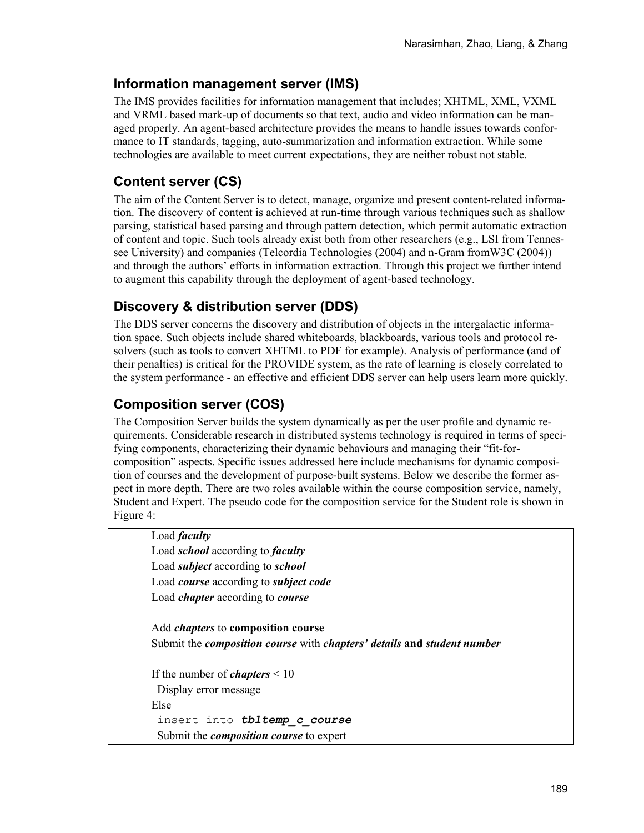### **Information management server (IMS)**

The IMS provides facilities for information management that includes; XHTML, XML, VXML and VRML based mark-up of documents so that text, audio and video information can be managed properly. An agent-based architecture provides the means to handle issues towards conformance to IT standards, tagging, auto-summarization and information extraction. While some technologies are available to meet current expectations, they are neither robust not stable.

## **Content server (CS)**

The aim of the Content Server is to detect, manage, organize and present content-related information. The discovery of content is achieved at run-time through various techniques such as shallow parsing, statistical based parsing and through pattern detection, which permit automatic extraction of content and topic. Such tools already exist both from other researchers (e.g., LSI from Tennessee University) and companies (Telcordia Technologies (2004) and n-Gram fromW3C (2004)) and through the authors' efforts in information extraction. Through this project we further intend to augment this capability through the deployment of agent-based technology.

### **Discovery & distribution server (DDS)**

The DDS server concerns the discovery and distribution of objects in the intergalactic information space. Such objects include shared whiteboards, blackboards, various tools and protocol resolvers (such as tools to convert XHTML to PDF for example). Analysis of performance (and of their penalties) is critical for the PROVIDE system, as the rate of learning is closely correlated to the system performance - an effective and efficient DDS server can help users learn more quickly.

## **Composition server (COS)**

The Composition Server builds the system dynamically as per the user profile and dynamic requirements. Considerable research in distributed systems technology is required in terms of specifying components, characterizing their dynamic behaviours and managing their "fit-forcomposition" aspects. Specific issues addressed here include mechanisms for dynamic composition of courses and the development of purpose-built systems. Below we describe the former aspect in more depth. There are two roles available within the course composition service, namely, Student and Expert. The pseudo code for the composition service for the Student role is shown in Figure 4:

| Load <i>faculty</i>                            |                                                                                              |
|------------------------------------------------|----------------------------------------------------------------------------------------------|
| Load <i>school</i> according to <i>faculty</i> |                                                                                              |
| Load <i>subject</i> according to <i>school</i> |                                                                                              |
|                                                | Load <i>course</i> according to <i>subject code</i>                                          |
| Load <i>chapter</i> according to <i>course</i> |                                                                                              |
|                                                | Add <i>chapters</i> to composition course                                                    |
|                                                | Submit the <i>composition course</i> with <i>chapters'</i> details and <i>student number</i> |
| If the number of <i>chapters</i> $\leq 10$     |                                                                                              |
| Display error message                          |                                                                                              |
| Else                                           |                                                                                              |
|                                                | insert into <i>tbltemp c course</i>                                                          |
|                                                | Submit the <i>composition course</i> to expert                                               |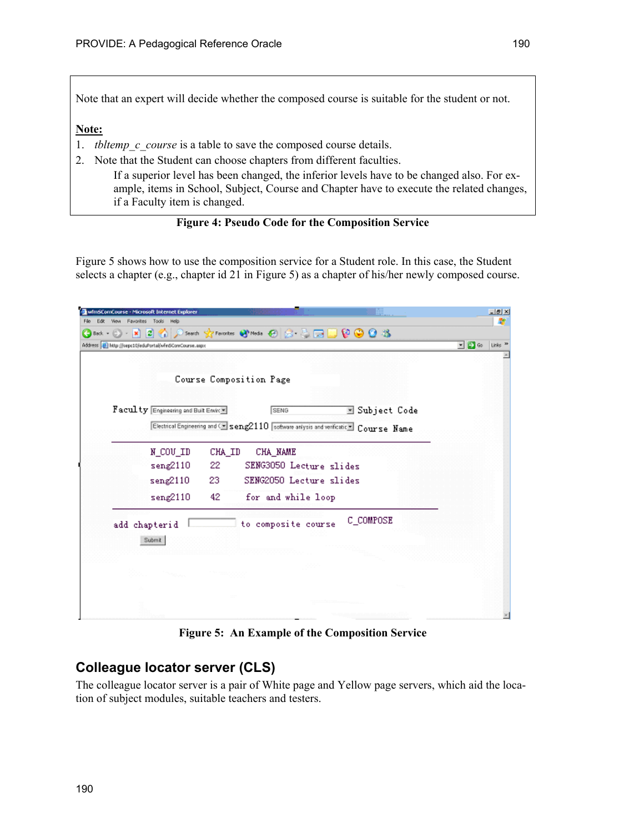Note that an expert will decide whether the composed course is suitable for the student or not.

#### **Note:**

- 1. *tbltemp\_c\_course* is a table to save the composed course details.
- 2. Note that the Student can choose chapters from different faculties.

If a superior level has been changed, the inferior levels have to be changed also. For example, items in School, Subject, Course and Chapter have to execute the related changes, if a Faculty item is changed.

**Figure 4: Pseudo Code for the Composition Service** 

Figure 5 shows how to use the composition service for a Student role. In this case, the Student selects a chapter (e.g., chapter id 21 in Figure 5) as a chapter of his/her newly composed course.

|                                                        | ⊙™ ⊙ B B ∆ O swa ☆™™™ ⊙ B & B B © ⊙ 8 3                                                                                                                                                                 |     |
|--------------------------------------------------------|---------------------------------------------------------------------------------------------------------------------------------------------------------------------------------------------------------|-----|
| Address (B) http://sepc10/eduPortal/wfmSComCourse.aspx |                                                                                                                                                                                                         | 回回の |
|                                                        | Course Composition Page                                                                                                                                                                                 |     |
| Faculty Engineering and Built Environ                  | 国 Subject Code<br>SENG                                                                                                                                                                                  |     |
|                                                        | Electrical Engineering and $\leq$ $\leq$ $\leq$ $2110$ $\mid$ software anlysis and verificatic $\mid$ $\mid$ $\mid$ $\mid$ $\leq$ $\leq$ $\leq$ $\leq$ $\leq$ $\leq$ $\leq$ $\leq$ $\leq$ $\leq$ $\leq$ |     |
|                                                        |                                                                                                                                                                                                         |     |
| N_COU_ID                                               | CHA_ID<br>CHA_NAME                                                                                                                                                                                      |     |
| seng2110                                               | SENG3050 Lecture slides<br>22                                                                                                                                                                           |     |
| seng2110                                               | 23<br>SENG2050 Lecture slides                                                                                                                                                                           |     |
| seng2110                                               | 42.<br>for and while loop                                                                                                                                                                               |     |
| add chapterid<br>Submit                                | C_COMPOSE<br>to composite course                                                                                                                                                                        |     |
|                                                        |                                                                                                                                                                                                         |     |
|                                                        |                                                                                                                                                                                                         |     |
|                                                        |                                                                                                                                                                                                         |     |

**Figure 5: An Example of the Composition Service** 

### **Colleague locator server (CLS)**

The colleague locator server is a pair of White page and Yellow page servers, which aid the location of subject modules, suitable teachers and testers.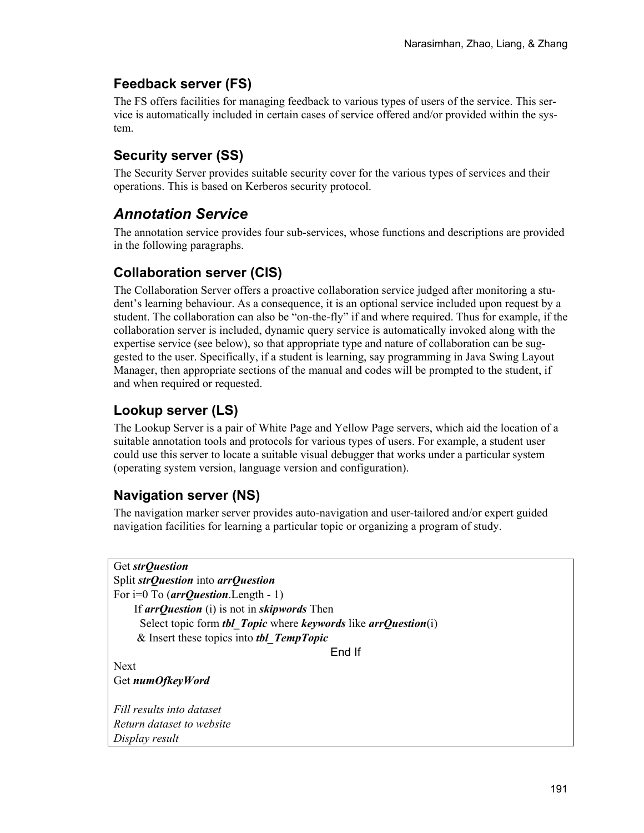## **Feedback server (FS)**

The FS offers facilities for managing feedback to various types of users of the service. This service is automatically included in certain cases of service offered and/or provided within the system.

## **Security server (SS)**

The Security Server provides suitable security cover for the various types of services and their operations. This is based on Kerberos security protocol.

## *Annotation Service*

The annotation service provides four sub-services, whose functions and descriptions are provided in the following paragraphs.

## **Collaboration server (ClS)**

The Collaboration Server offers a proactive collaboration service judged after monitoring a student's learning behaviour. As a consequence, it is an optional service included upon request by a student. The collaboration can also be "on-the-fly" if and where required. Thus for example, if the collaboration server is included, dynamic query service is automatically invoked along with the expertise service (see below), so that appropriate type and nature of collaboration can be suggested to the user. Specifically, if a student is learning, say programming in Java Swing Layout Manager, then appropriate sections of the manual and codes will be prompted to the student, if and when required or requested.

## **Lookup server (LS)**

The Lookup Server is a pair of White Page and Yellow Page servers, which aid the location of a suitable annotation tools and protocols for various types of users. For example, a student user could use this server to locate a suitable visual debugger that works under a particular system (operating system version, language version and configuration).

## **Navigation server (NS)**

The navigation marker server provides auto-navigation and user-tailored and/or expert guided navigation facilities for learning a particular topic or organizing a program of study.

```
Get strQuestion
Split strQuestion into arrQuestion
For i=0 To (arrQuestion.Length - 1)
    If arrQuestion (i) is not in skipwords Then 
      Select topic form tbl_Topic where keywords like arrQuestion(i) 
      & Insert these topics into tbl_TempTopic
                                               End If 
Next 
Get numOfkeyWord 
Fill results into dataset 
Return dataset to website 
Display result
```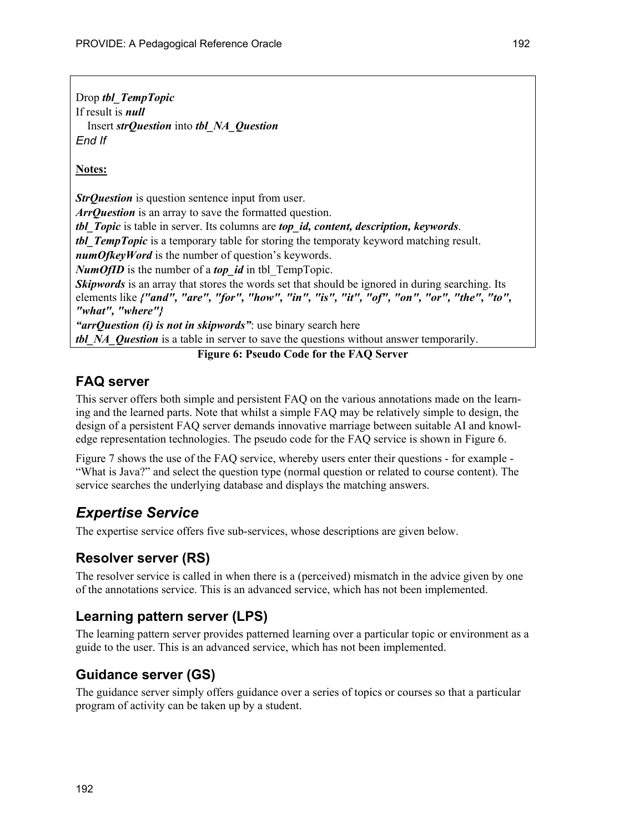Drop *tbl\_TempTopic* If result is *null* Insert *strQuestion* into *tbl\_NA\_Question End If* 

**Notes:**

*StrQuestion* is question sentence input from user. *ArrQuestion* is an array to save the formatted question. *tbl\_Topic* is table in server. Its columns are *top\_id, content, description, keywords*. *tbl.* **TempTopic** is a temporary table for storing the temporaty keyword matching result. *numOfkeyWord* is the number of question's keywords. *NumOfID* is the number of a *top\_id* in tbl\_TempTopic. *Skipwords* is an array that stores the words set that should be ignored in during searching. Its elements like *{"and", "are", "for", "how", "in", "is", "it", "of", "on", "or", "the", "to", "what", "where"} "arrQuestion (i) is not in skipwords"*: use binary search here *tbl\_NA\_Question* is a table in server to save the questions without answer temporarily.

#### **Figure 6: Pseudo Code for the FAQ Server**

### **FAQ server**

This server offers both simple and persistent FAQ on the various annotations made on the learning and the learned parts. Note that whilst a simple FAQ may be relatively simple to design, the design of a persistent FAQ server demands innovative marriage between suitable AI and knowledge representation technologies. The pseudo code for the FAQ service is shown in Figure 6.

Figure 7 shows the use of the FAQ service, whereby users enter their questions - for example - "What is Java?" and select the question type (normal question or related to course content). The service searches the underlying database and displays the matching answers.

## *Expertise Service*

The expertise service offers five sub-services, whose descriptions are given below.

## **Resolver server (RS)**

The resolver service is called in when there is a (perceived) mismatch in the advice given by one of the annotations service. This is an advanced service, which has not been implemented.

## **Learning pattern server (LPS)**

The learning pattern server provides patterned learning over a particular topic or environment as a guide to the user. This is an advanced service, which has not been implemented.

## **Guidance server (GS)**

The guidance server simply offers guidance over a series of topics or courses so that a particular program of activity can be taken up by a student.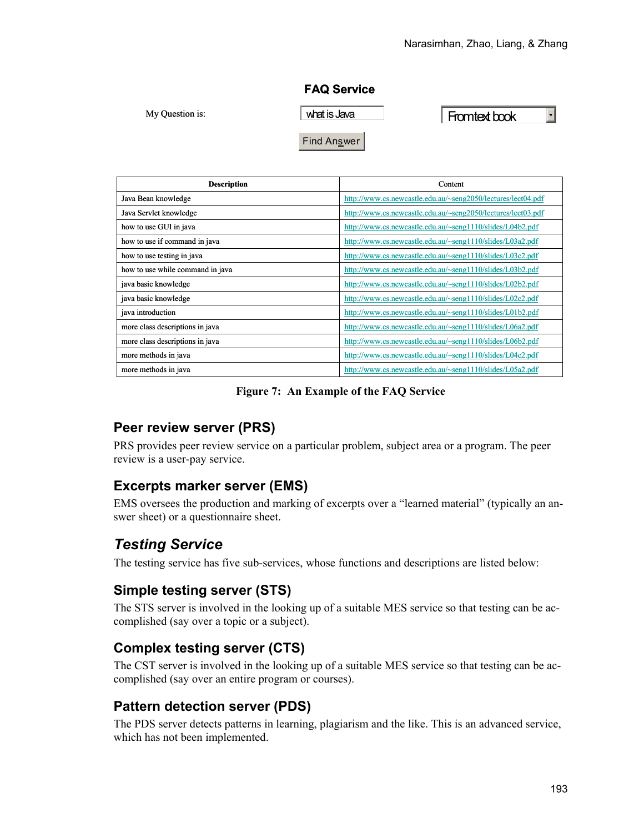#### **FAQ Service**

My Question is:  $\vert$  what is Java  $\vert$  From text book what isJava

 $\mathbf{F}$ 

Find Answer

| <b>Description</b>               | Content                                                      |
|----------------------------------|--------------------------------------------------------------|
| Java Bean knowledge              | http://www.cs.newcastle.edu.au/~seng2050/lectures/lect04.pdf |
| Java Servlet knowledge           | http://www.cs.newcastle.edu.au/~seng2050/lectures/lect03.pdf |
| how to use GUI in java           | http://www.cs.newcastle.edu.au/~seng1110/slides/L04b2.pdf    |
| how to use if command in java    | http://www.cs.newcastle.edu.au/~seng1110/slides/L03a2.pdf    |
| how to use testing in java       | http://www.cs.newcastle.edu.au/~seng1110/slides/L03c2.pdf    |
| how to use while command in java | http://www.cs.newcastle.edu.au/~seng1110/slides/L03b2.pdf    |
| java basic knowledge             | http://www.cs.newcastle.edu.au/~seng1110/slides/L02b2.pdf    |
| java basic knowledge             | http://www.cs.newcastle.edu.au/~seng1110/slides/L02c2.pdf    |
| java introduction                | http://www.cs.newcastle.edu.au/~seng1110/slides/L01b2.pdf    |
| more class descriptions in java  | http://www.cs.newcastle.edu.au/~seng1110/slides/L06a2.pdf    |
| more class descriptions in java  | http://www.cs.newcastle.edu.au/~seng1110/slides/L06b2.pdf    |
| more methods in java             | http://www.cs.newcastle.edu.au/~seng1110/slides/L04c2.pdf    |
| more methods in java             | http://www.cs.newcastle.edu.au/~seng1110/slides/L05a2.pdf    |

#### **Figure 7: An Example of the FAQ Service**

### **Peer review server (PRS)**

PRS provides peer review service on a particular problem, subject area or a program. The peer review is a user-pay service.

### **Excerpts marker server (EMS)**

EMS oversees the production and marking of excerpts over a "learned material" (typically an answer sheet) or a questionnaire sheet.

### *Testing Service*

The testing service has five sub-services, whose functions and descriptions are listed below:

### **Simple testing server (STS)**

The STS server is involved in the looking up of a suitable MES service so that testing can be accomplished (say over a topic or a subject).

### **Complex testing server (CTS)**

The CST server is involved in the looking up of a suitable MES service so that testing can be accomplished (say over an entire program or courses).

#### **Pattern detection server (PDS)**

The PDS server detects patterns in learning, plagiarism and the like. This is an advanced service, which has not been implemented.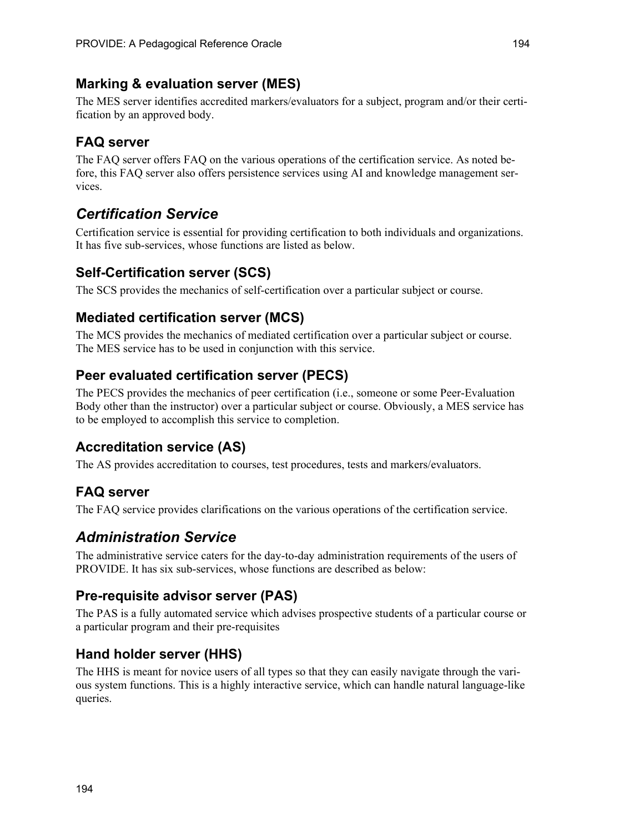### **Marking & evaluation server (MES)**

The MES server identifies accredited markers/evaluators for a subject, program and/or their certification by an approved body.

### **FAQ server**

The FAQ server offers FAQ on the various operations of the certification service. As noted before, this FAQ server also offers persistence services using AI and knowledge management services.

## *Certification Service*

Certification service is essential for providing certification to both individuals and organizations. It has five sub-services, whose functions are listed as below.

### **Self-Certification server (SCS)**

The SCS provides the mechanics of self-certification over a particular subject or course.

### **Mediated certification server (MCS)**

The MCS provides the mechanics of mediated certification over a particular subject or course. The MES service has to be used in conjunction with this service.

### **Peer evaluated certification server (PECS)**

The PECS provides the mechanics of peer certification (i.e., someone or some Peer-Evaluation Body other than the instructor) over a particular subject or course. Obviously, a MES service has to be employed to accomplish this service to completion.

## **Accreditation service (AS)**

The AS provides accreditation to courses, test procedures, tests and markers/evaluators.

### **FAQ server**

The FAQ service provides clarifications on the various operations of the certification service.

## *Administration Service*

The administrative service caters for the day-to-day administration requirements of the users of PROVIDE. It has six sub-services, whose functions are described as below:

### **Pre-requisite advisor server (PAS)**

The PAS is a fully automated service which advises prospective students of a particular course or a particular program and their pre-requisites

### **Hand holder server (HHS)**

The HHS is meant for novice users of all types so that they can easily navigate through the various system functions. This is a highly interactive service, which can handle natural language-like queries.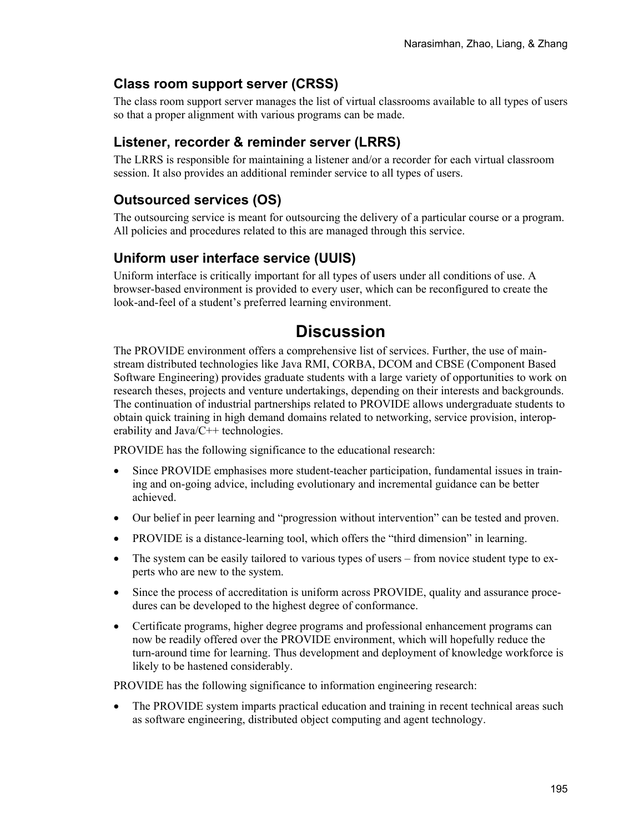## **Class room support server (CRSS)**

The class room support server manages the list of virtual classrooms available to all types of users so that a proper alignment with various programs can be made.

## **Listener, recorder & reminder server (LRRS)**

The LRRS is responsible for maintaining a listener and/or a recorder for each virtual classroom session. It also provides an additional reminder service to all types of users.

## **Outsourced services (OS)**

The outsourcing service is meant for outsourcing the delivery of a particular course or a program. All policies and procedures related to this are managed through this service.

## **Uniform user interface service (UUIS)**

Uniform interface is critically important for all types of users under all conditions of use. A browser-based environment is provided to every user, which can be reconfigured to create the look-and-feel of a student's preferred learning environment.

# **Discussion**

The PROVIDE environment offers a comprehensive list of services. Further, the use of mainstream distributed technologies like Java RMI, CORBA, DCOM and CBSE (Component Based Software Engineering) provides graduate students with a large variety of opportunities to work on research theses, projects and venture undertakings, depending on their interests and backgrounds. The continuation of industrial partnerships related to PROVIDE allows undergraduate students to obtain quick training in high demand domains related to networking, service provision, interoperability and Java/C++ technologies.

PROVIDE has the following significance to the educational research:

- Since PROVIDE emphasises more student-teacher participation, fundamental issues in training and on-going advice, including evolutionary and incremental guidance can be better achieved.
- Our belief in peer learning and "progression without intervention" can be tested and proven.
- PROVIDE is a distance-learning tool, which offers the "third dimension" in learning.
- The system can be easily tailored to various types of users from novice student type to experts who are new to the system.
- Since the process of accreditation is uniform across PROVIDE, quality and assurance procedures can be developed to the highest degree of conformance.
- Certificate programs, higher degree programs and professional enhancement programs can now be readily offered over the PROVIDE environment, which will hopefully reduce the turn-around time for learning. Thus development and deployment of knowledge workforce is likely to be hastened considerably.

PROVIDE has the following significance to information engineering research:

• The PROVIDE system imparts practical education and training in recent technical areas such as software engineering, distributed object computing and agent technology.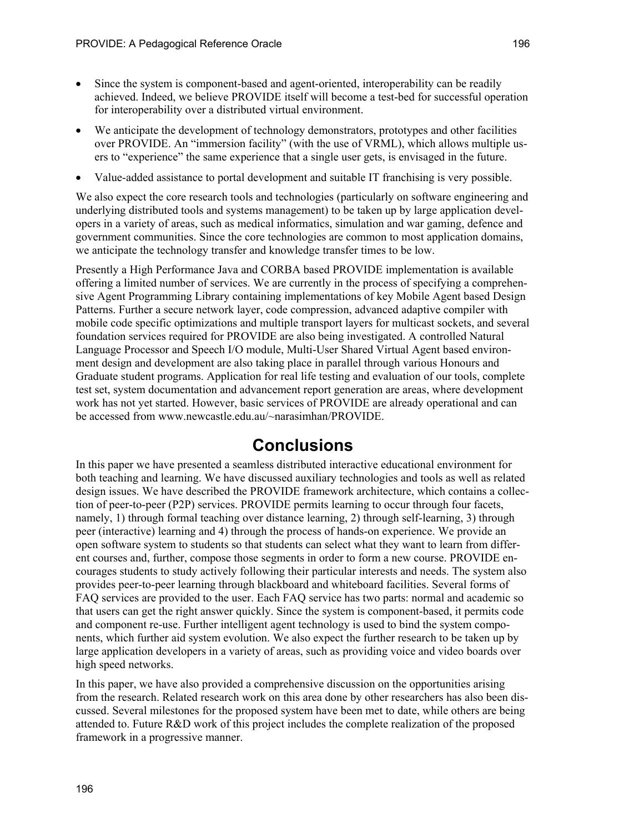- Since the system is component-based and agent-oriented, interoperability can be readily achieved. Indeed, we believe PROVIDE itself will become a test-bed for successful operation for interoperability over a distributed virtual environment.
- We anticipate the development of technology demonstrators, prototypes and other facilities over PROVIDE. An "immersion facility" (with the use of VRML), which allows multiple users to "experience" the same experience that a single user gets, is envisaged in the future.
- Value-added assistance to portal development and suitable IT franchising is very possible.

We also expect the core research tools and technologies (particularly on software engineering and underlying distributed tools and systems management) to be taken up by large application developers in a variety of areas, such as medical informatics, simulation and war gaming, defence and government communities. Since the core technologies are common to most application domains, we anticipate the technology transfer and knowledge transfer times to be low.

Presently a High Performance Java and CORBA based PROVIDE implementation is available offering a limited number of services. We are currently in the process of specifying a comprehensive Agent Programming Library containing implementations of key Mobile Agent based Design Patterns. Further a secure network layer, code compression, advanced adaptive compiler with mobile code specific optimizations and multiple transport layers for multicast sockets, and several foundation services required for PROVIDE are also being investigated. A controlled Natural Language Processor and Speech I/O module, Multi-User Shared Virtual Agent based environment design and development are also taking place in parallel through various Honours and Graduate student programs. Application for real life testing and evaluation of our tools, complete test set, system documentation and advancement report generation are areas, where development work has not yet started. However, basic services of PROVIDE are already operational and can be accessed from [www.newcastle.edu.au/~narasimhan/PROVIDE.](http://www.newcastle.edu.au/~narasimhan/PROVIDE)

## **Conclusions**

In this paper we have presented a seamless distributed interactive educational environment for both teaching and learning. We have discussed auxiliary technologies and tools as well as related design issues. We have described the PROVIDE framework architecture, which contains a collection of peer-to-peer (P2P) services. PROVIDE permits learning to occur through four facets, namely, 1) through formal teaching over distance learning, 2) through self-learning, 3) through peer (interactive) learning and 4) through the process of hands-on experience. We provide an open software system to students so that students can select what they want to learn from different courses and, further, compose those segments in order to form a new course. PROVIDE encourages students to study actively following their particular interests and needs. The system also provides peer-to-peer learning through blackboard and whiteboard facilities. Several forms of FAQ services are provided to the user. Each FAQ service has two parts: normal and academic so that users can get the right answer quickly. Since the system is component-based, it permits code and component re-use. Further intelligent agent technology is used to bind the system components, which further aid system evolution. We also expect the further research to be taken up by large application developers in a variety of areas, such as providing voice and video boards over high speed networks.

In this paper, we have also provided a comprehensive discussion on the opportunities arising from the research. Related research work on this area done by other researchers has also been discussed. Several milestones for the proposed system have been met to date, while others are being attended to. Future R&D work of this project includes the complete realization of the proposed framework in a progressive manner.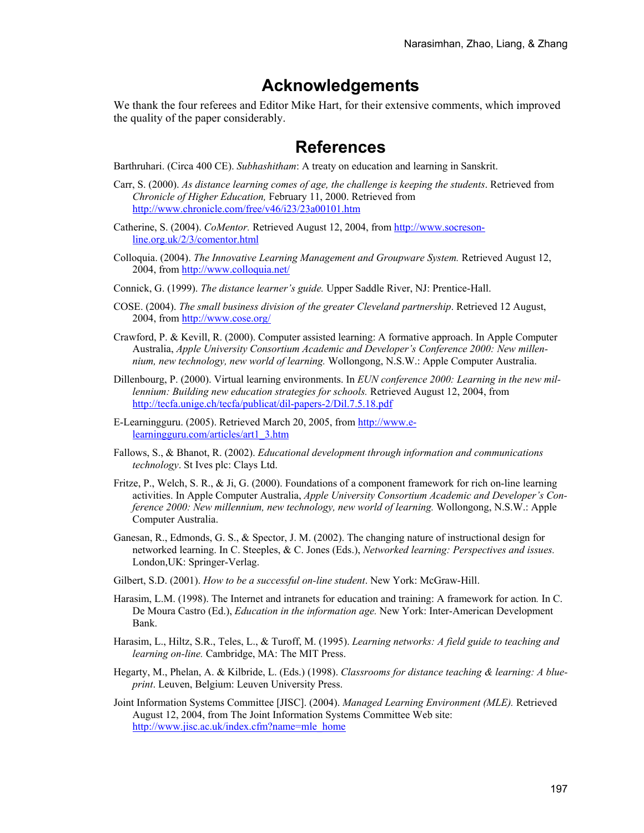## **Acknowledgements**

We thank the four referees and Editor Mike Hart, for their extensive comments, which improved the quality of the paper considerably.

## **References**

Barthruhari. (Circa 400 CE). *Subhashitham*: A treaty on education and learning in Sanskrit.

- Carr, S. (2000). *As distance learning comes of age, the challenge is keeping the students*. Retrieved from *Chronicle of Higher Education,* February 11, 2000. Retrieved from <http://www.chronicle.com/free/v46/i23/23a00101.htm>
- Catherine, S. (2004). *CoMentor.* Retrieved August 12, 2004, from [http://www.socreson](http://www.socresonline.org.uk/2/3/comentor.html)[line.org.uk/2/3/comentor.html](http://www.socresonline.org.uk/2/3/comentor.html)
- Colloquia. (2004). *The Innovative Learning Management and Groupware System.* Retrieved August 12, 2004, from <http://www.colloquia.net/>
- Connick, G. (1999). *The distance learner's guide.* Upper Saddle River, NJ: Prentice-Hall.
- COSE. (2004). *The small business division of the greater Cleveland partnership*. Retrieved 12 August, 2004, from <http://www.cose.org/>
- Crawford, P. & Kevill, R. (2000). Computer assisted learning: A formative approach. In Apple Computer Australia, *Apple University Consortium Academic and Developer's Conference 2000: New millennium, new technology, new world of learning.* Wollongong, N.S.W.: Apple Computer Australia.
- Dillenbourg, P. (2000). Virtual learning environments. In *EUN conference 2000: Learning in the new millennium: Building new education strategies for schools.* Retrieved August 12, 2004, from <http://tecfa.unige.ch/tecfa/publicat/dil-papers-2/Dil.7.5.18.pdf>
- E-Learningguru. (2005). Retrieved March 20, 2005, from [http://www.e](http://www.e-learningguru.com/articles/art1_3.htm)[learningguru.com/articles/art1\\_3.htm](http://www.e-learningguru.com/articles/art1_3.htm)
- Fallows, S., & Bhanot, R. (2002). *Educational development through information and communications technology*. St Ives plc: Clays Ltd.
- Fritze, P., Welch, S. R., & Ji, G. (2000). Foundations of a component framework for rich on-line learning activities. In Apple Computer Australia, *Apple University Consortium Academic and Developer's Conference 2000: New millennium, new technology, new world of learning.* Wollongong, N.S.W.: Apple Computer Australia.
- Ganesan, R., Edmonds, G. S., & Spector, J. M. (2002). The changing nature of instructional design for networked learning. In C. Steeples, & C. Jones (Eds.), *Networked learning: Perspectives and issues.*  London,UK: Springer-Verlag.
- Gilbert, S.D. (2001). *How to be a successful on-line student*. New York: McGraw-Hill.
- Harasim, L.M. (1998). The Internet and intranets for education and training: A framework for action*.* In C. De Moura Castro (Ed.), *Education in the information age.* New York: Inter-American Development Bank.
- Harasim, L., Hiltz, S.R., Teles, L., & Turoff, M. (1995). *Learning networks: A field guide to teaching and learning on-line.* Cambridge, MA: The MIT Press.
- Hegarty, M., Phelan, A. & Kilbride, L. (Eds.) (1998). *Classrooms for distance teaching & learning: A blueprint*. Leuven, Belgium: Leuven University Press.
- Joint Information Systems Committee [JISC]. (2004). *Managed Learning Environment (MLE).* Retrieved August 12, 2004, from The Joint Information Systems Committee Web site: [http://www.jisc.ac.uk/index.cfm?name=mle\\_home](http://www.jisc.ac.uk/index.cfm?name=mle_home)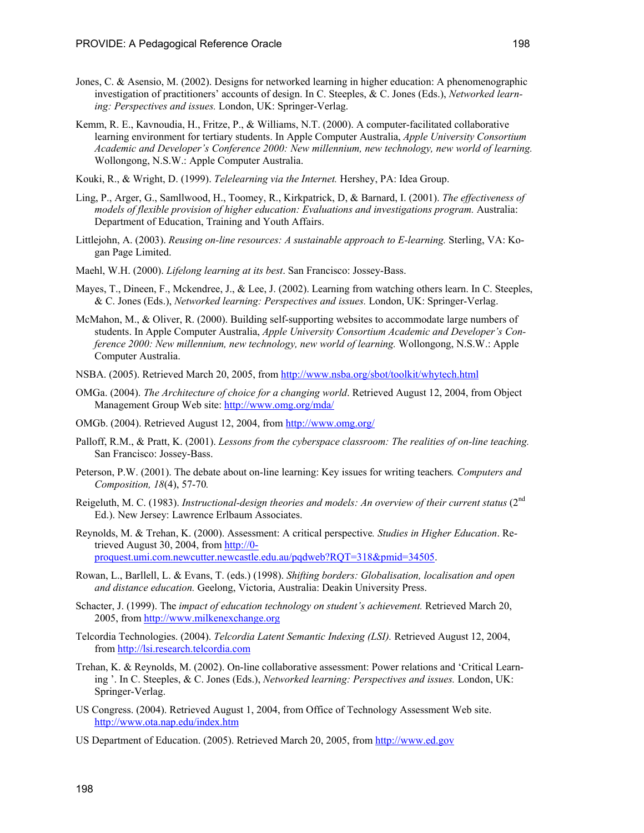- Jones, C. & Asensio, M. (2002). Designs for networked learning in higher education: A phenomenographic investigation of practitioners' accounts of design. In C. Steeples, & C. Jones (Eds.), *Networked learning: Perspectives and issues.* London, UK: Springer-Verlag.
- Kemm, R. E., Kavnoudia, H., Fritze, P., & Williams, N.T. (2000). A computer-facilitated collaborative learning environment for tertiary students. In Apple Computer Australia, *Apple University Consortium Academic and Developer's Conference 2000: New millennium, new technology, new world of learning.*  Wollongong, N.S.W.: Apple Computer Australia.
- Kouki, R., & Wright, D. (1999). *Telelearning via the Internet.* Hershey, PA: Idea Group.
- Ling, P., Arger, G., Samllwood, H., Toomey, R., Kirkpatrick, D, & Barnard, I. (2001). *The effectiveness of models of flexible provision of higher education: Evaluations and investigations program.* Australia: Department of Education, Training and Youth Affairs.
- Littlejohn, A. (2003). *Reusing on-line resources: A sustainable approach to E-learning.* Sterling, VA: Kogan Page Limited.
- Maehl, W.H. (2000). *Lifelong learning at its best*. San Francisco: Jossey-Bass.
- Mayes, T., Dineen, F., Mckendree, J., & Lee, J. (2002). Learning from watching others learn. In C. Steeples, & C. Jones (Eds.), *Networked learning: Perspectives and issues.* London, UK: Springer-Verlag.
- McMahon, M., & Oliver, R. (2000). Building self-supporting websites to accommodate large numbers of students. In Apple Computer Australia, *Apple University Consortium Academic and Developer's Conference 2000: New millennium, new technology, new world of learning.* Wollongong, N.S.W.: Apple Computer Australia.
- NSBA. (2005). Retrieved March 20, 2005, from <http://www.nsba.org/sbot/toolkit/whytech.html>
- OMGa. (2004). *The Architecture of choice for a changing world*. Retrieved August 12, 2004, from Object Management Group Web site: <http://www.omg.org/mda/>
- OMGb. (2004). Retrieved August 12, 2004, from <http://www.omg.org/>
- Palloff, R.M., & Pratt, K. (2001). *Lessons from the cyberspace classroom: The realities of on-line teaching.* San Francisco: Jossey-Bass.
- Peterson, P.W. (2001). The debate about on-line learning: Key issues for writing teachers*. Computers and Composition, 18*(4), 57-70*.*
- Reigeluth, M. C. (1983). *Instructional-design theories and models: An overview of their current status* (2<sup>nd</sup>) Ed.). New Jersey: Lawrence Erlbaum Associates.
- Reynolds, M. & Trehan, K. (2000). Assessment: A critical perspective*. Studies in Higher Education*. Retrieved August 30, 2004, from [http://0](http://0-proquest.umi.com.newcutter.newcastle.edu.au/pqdweb?RQT=318&pmid=34505) [proquest.umi.com.newcutter.newcastle.edu.au/pqdweb?RQT=318&pmid=34505.](http://0-proquest.umi.com.newcutter.newcastle.edu.au/pqdweb?RQT=318&pmid=34505)
- Rowan, L., Barllell, L. & Evans, T. (eds.) (1998). *Shifting borders: Globalisation, localisation and open and distance education.* Geelong, Victoria, Australia: Deakin University Press.
- Schacter, J. (1999). The *impact of education technology on student's achievement.* Retrieved March 20, 2005, from [http://www.milkenexchange.org](http://www.milkenexchange.org/)
- Telcordia Technologies. (2004). *Telcordia Latent Semantic Indexing (LSI).* Retrieved August 12, 2004, from [http://lsi.research.telcordia.com](http://lsi.research.telcordia.com/)
- Trehan, K. & Reynolds, M. (2002). On-line collaborative assessment: Power relations and 'Critical Learning '. In C. Steeples, & C. Jones (Eds.), *Networked learning: Perspectives and issues.* London, UK: Springer-Verlag.
- US Congress. (2004). Retrieved August 1, 2004, from Office of Technology Assessment Web site. <http://www.ota.nap.edu/index.htm>
- US Department of Education. (2005). Retrieved March 20, 2005, from [http://www.ed.gov](http://www.ed.gov/)